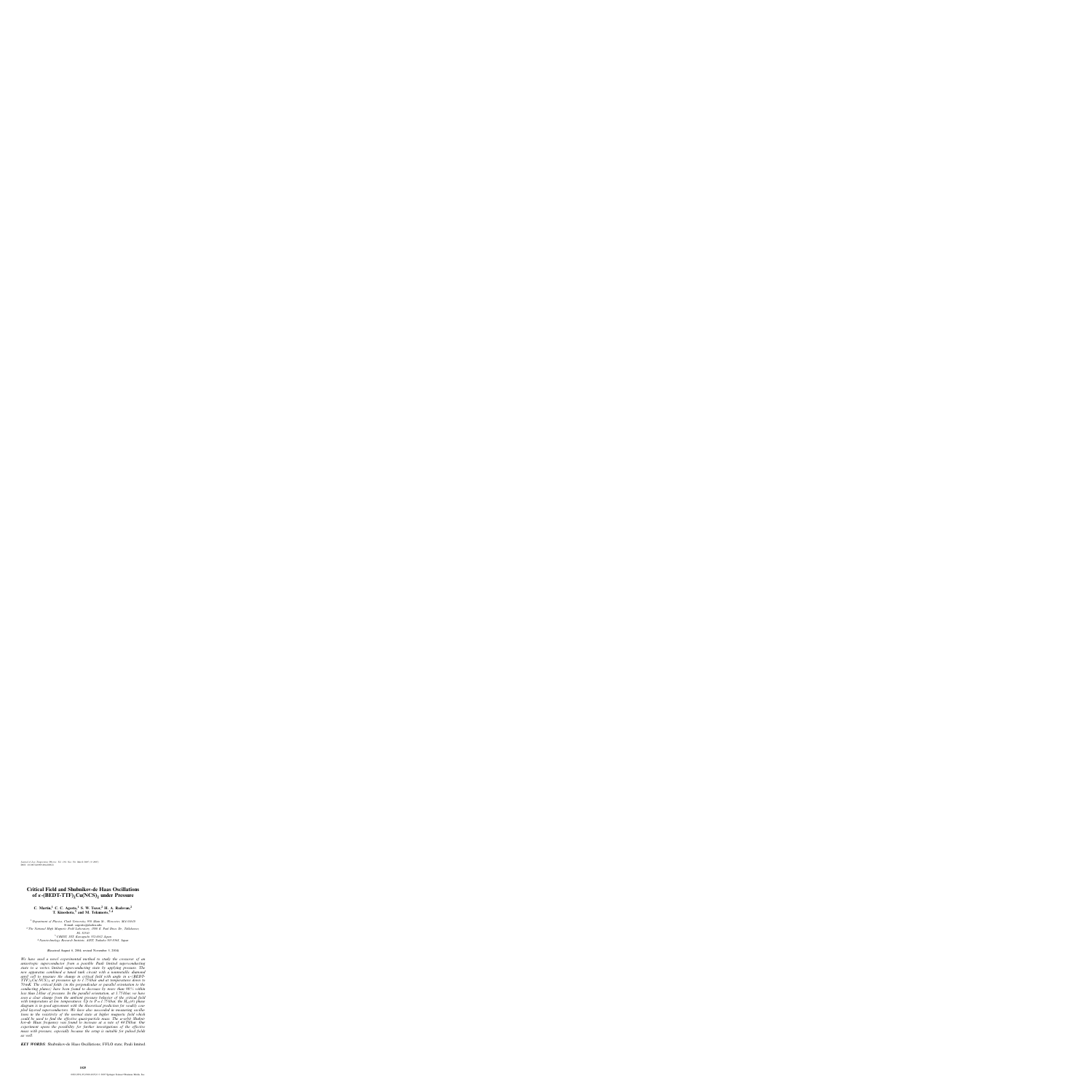# **Critical Field and Shubnikov-de Haas Oscillations of** *κ*-(BEDT-TTF)<sub>2</sub>Cu(NCS)<sub>2</sub> *under* Pressure

**C. Martin,<sup>1</sup> C. C. Agosta,<sup>1</sup> S. W. Tozer, <sup>2</sup> H. A. Radovan,<sup>2</sup> T. Kinoshota,<sup>3</sup> and M. Tokumoto,3**,**<sup>4</sup>**

 *Department of Physics, Clark University, 950 Main St., Worcester, MA 01610* E-mail: cagosta@clarku.edu *The National High Magnetic Field Laboratory, 1800 E. Paul Dirac Dr., Tallahassee, FL 32310 CREST, JST, Kawaguchi 332-0012 Japan Nanotechnology Research Institute, AIST, Tsukuba 305-8568, Japan*

(Received August 6, 2004; revised November 5, 2004)

*We have used a novel experimental method to study the crossover of an anisotropic superconductor from a possible Pauli limited superconducting state to a vortex limited superconducting state by applying pressure. The new apparatus combined a tuned tank circuit with a nonmetallic diamond anvil cell to measure the change in critical field with angle in* κ*-(BEDT-TTF)*2*Cu(NCS)*<sup>2</sup> *at pressures up to 1.75 kbar and at temperatures down to 70 mK. The critical fields (in the perpendicular or parallel orientation to the conducting planes) have been found to decrease by more than 90 % within less than 2 kbar of pressure. In the parallel orientation, at 1.75 kbar, we have seen a clear change from the ambient pressure behavior of the critical field with temperature at low temperatures. Up to*  $P = 1.75$  *<i>kbar, the*  $H_{c2}(\theta)$  *phase diagram is in good agreement with the theoretical prediction for weakly coupled layered superconductors. We have also succeeded in measuring oscillations in the resistivity of the normal state at higher magnetic field which could be used to find the effective quasi-particle mass. The* α*-orbit Shubnikov-de Haas frequency was found to increase at a rate of 44T/kbar. Our experiment opens the possibility for further investigations of the effective mass with pressure, especially because the setup is suitable for pulsed fields as well.*

*KEY WORDS***:** Shubnikov-de Haas Oscillations; FFLO state; Pauli limited.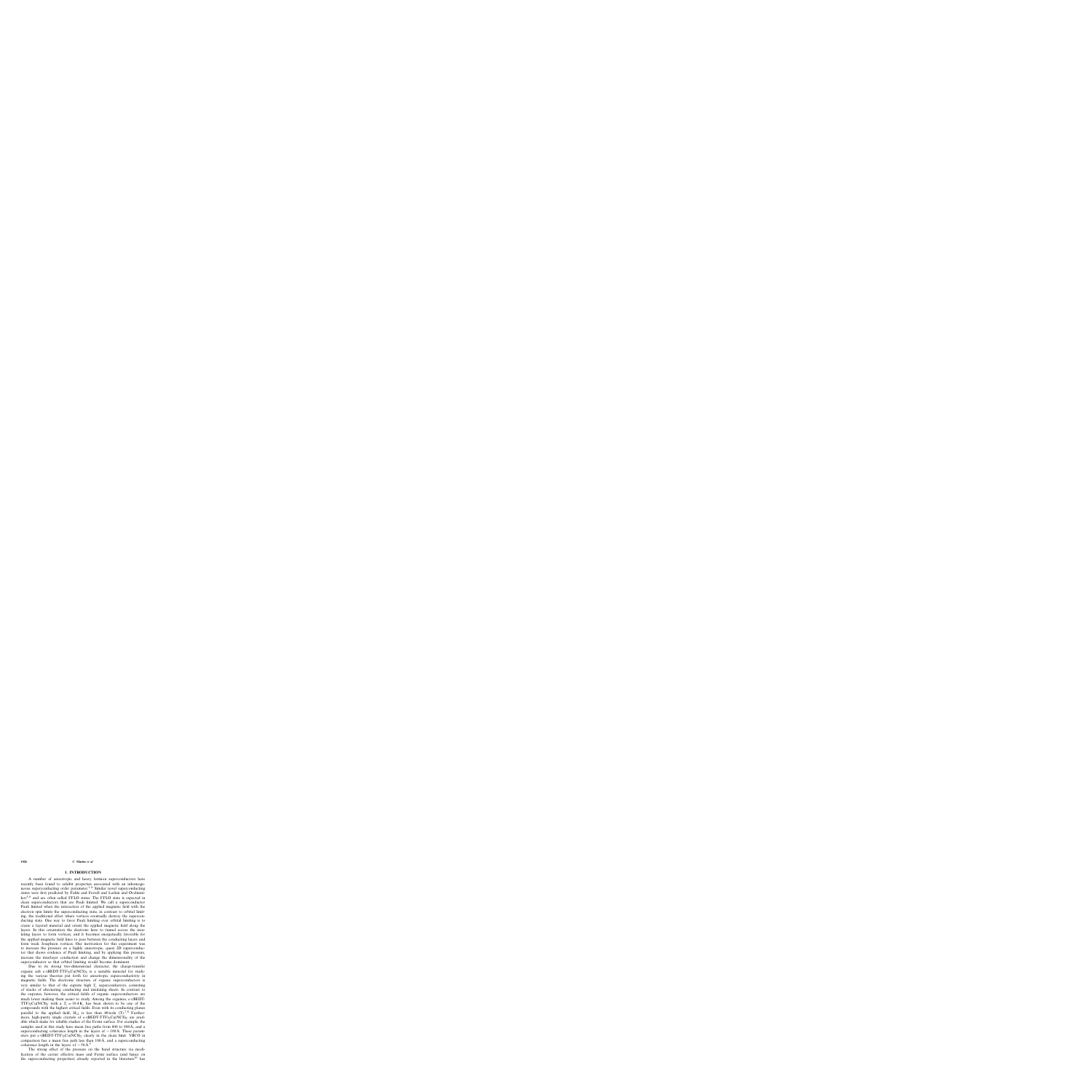#### **1026 C. Martin** *et al.*

### **1. INTRODUCTION**

A number of anisotropic and heavy fermion superconductors have recently been found to exhibit properties associated with an inhomogeneous superconducting order parameter.<sup>1–4</sup> Similar novel superconducting states were first predicted by Fulde and Ferrell and Larkin and Ovchinni $kov<sup>5,6</sup>$  and are often called FFLO states. The FFLO state is expected in clean superconductors that are Pauli limited. We call a superconductor Pauli limited when the interaction of the applied magnetic field with the electron spin limits the superconducting state, in contrast to orbital limiting, the traditional effect where vortices eventually destroy the superconducting state. One way to favor Pauli limiting over orbital limiting is to create a layered material and orient the applied magnetic field along the layers. In this orientation the electrons have to tunnel across the insulating layers to form vortices, and it becomes energetically favorable for the applied magnetic field lines to pass between the conducting layers and form weak Josephson vortices. Our motivation for this experiment was to increase the pressure on a highly anisotropic, quasi 2D superconductor that shows evidence of Pauli limiting, and by applying this pressure, increase the interlayer conduction and change the dimensionality of the superconductor so that orbital limiting would become dominant.

Due to its strong two-dimensional character, the charge-transfer organic salt  $\kappa$ -(BEDT-TTF)<sub>2</sub>Cu(NCS)<sub>2</sub> is a suitable material for studying the various theories put forth for anisotropic superconductivity in magnetic fields. The electronic structure of organic superconductors is very similar to that of the cuprate high  $T_c$  superconductors, consisting of stacks of alternating conducting and insulating sheets. In contrast to the cuprates, however, the critical fields of organic superconductors are much lower making them easier to study. Among the organics,  $\kappa$ -(BEDT-TTF)<sub>2</sub>Cu(NCS)<sub>2</sub> with a  $T_c = 10.4$ K, has been shown to be one of the compounds with the highest critical fields. Even with its conducting planes parallel to the applied field,  $H_c$  is less than 40 tesla (T).<sup>7,8</sup> Furthermore, high-purity single crystals of  $\kappa$ -(BEDT-TTF)<sub>2</sub>Cu(NCS)<sub>2</sub> are available which make for reliable studies of the Fermi surface. For example, the samples used in this study have mean free paths from 600 to 900Å, and a superconducting coherence length in the layers of  $\sim 100 \text{\AA}$ . These parameters put  $\kappa$ -(BEDT-TTF)<sub>2</sub>Cu(NCS)<sub>2</sub> clearly in the clean limit. YBCO in comparison has a mean free path less than  $100 \text{\AA}$ , and a superconducting coherence length in the layers of  $\sim$  50Å.<sup>9</sup>

The strong effect of the pressure on the band structure via modification of the carrier effective mass and Fermi surface (and hence on the superconducting properties) already reported in the literature<sup>10</sup> has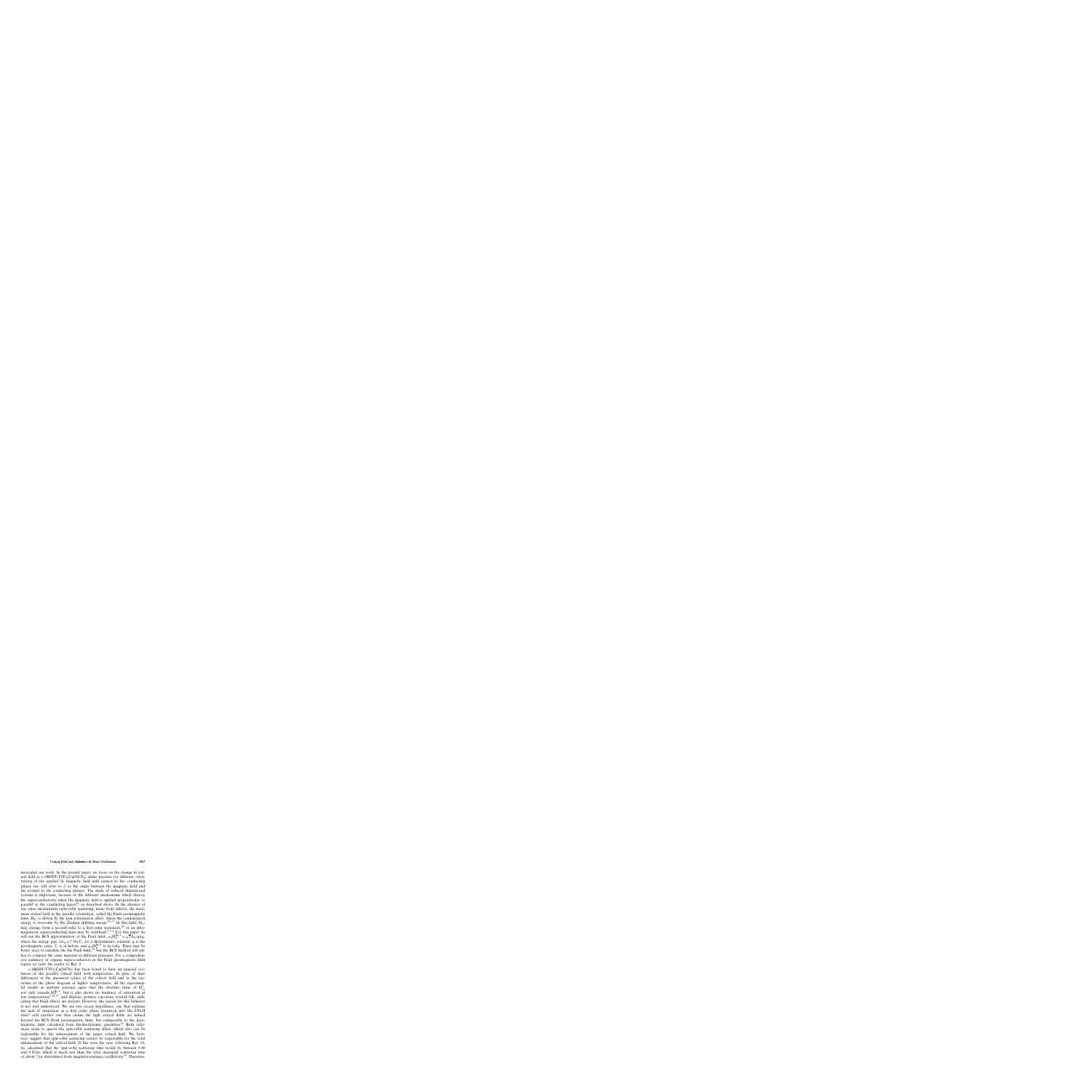motivated our work. In the present paper, we focus on the change in critical field in  $\kappa$ -(BEDT-TTF)<sub>2</sub>Cu(NCS)<sub>2</sub> under pressure for different orientations of the applied dc magnetic field with respect to the conducting planes (we will refer to  $\theta$  as the angle between the magnetic field and the normal to the conducting planes). The study of reduced dimensional systems is important, because of the different mechanisms which destroy the superconductivity when the magnetic field is applied perpendicular or parallel to the conducting layers<sup>11</sup> as described above. In the absence of any other mechanisms (spin-orbit scattering, many body effects), the maximum critical field in the parallel orientation, called the Pauli paramagnetic limit,  $H<sub>P</sub>$ , is driven by the spin polarization effect, where the condensation energy is overcome by the Zeeman splitting energy.<sup>12,13</sup> In this limit,  $H_{c2}$ may change from a second-order to a first-order transition,  $14$  or an inhomogenious superconducting state may be stabilized.<sup>3,5,6</sup> For this paper we will use the BCS approximation of the Pauli limit,  $\mu_0 H_P^{BCS} = \sqrt{2} \Delta_0 / g \mu_B$ , where the energy gap,  $2\Delta_0 = 3.5k_BT_c$ ,  $k_B$  is Boltzmann's constant, g is the gyromagnetic ratio,  $T_c$  is in kelvin, and  $\mu_0$ H $_P^{BCS}$  is in tesla. There may be better ways to calculate the the Pauli limit,<sup>15</sup> but the BCS method will suffice to compare the same material at different pressures. For a comprehensive summary of organic superconductors in the Pauli paramagnetic limit region we refer the reader to Ref. 8.

 $\kappa$ -(BEDT-TTF)<sub>2</sub>Cu(NCS)<sub>2</sub> has been found to have an unusual evolution of the parallel critical field with temperature. In spite of their differences in the measured values of the critical field and in the curvature of the phase diagram at higher temperatures, all the experimental results at ambient pressure agree that the absolute value of  $H_{c2}^{||}$ at results at amount pressure agree that the absolute value of  $H_{c2}^{2}$  not only exceeds  $H_{c2}^{BC}$ , but it also shows no tendency of saturation at low temperatures<sup>3,16,17</sup> and displays positive curvature toward  $0 \text{ K}$ , indicating that Pauli effects are present. However, the reason for this behavior is not well understood. We cite two recent hypotheses, one that explains the lack of saturation as a first order phase transition into the FFLO state<sup>3</sup> and another one that claims the high critical fields are indeed beyond the BCS Pauli paramagnetic limit, but comparable to the paramagnetic limit calculated from thermodynamic quantities. <sup>16</sup> Both references seem to ignore the spin-orbit scattering effect, which also can be responsible for the enhancement of the upper critical field. We, however, suggest that spin-orbit scattering cannot be responsible for the total enhancement of the critical field. If this were the case, following Ref. 18, we calculated that the spin-orbit scattering time would be between 0.46 and 0.62 ps, which is much less than the total measured scattering time of about 3 ps determined from magnetoresistance oscillations.<sup>19</sup> Therefore,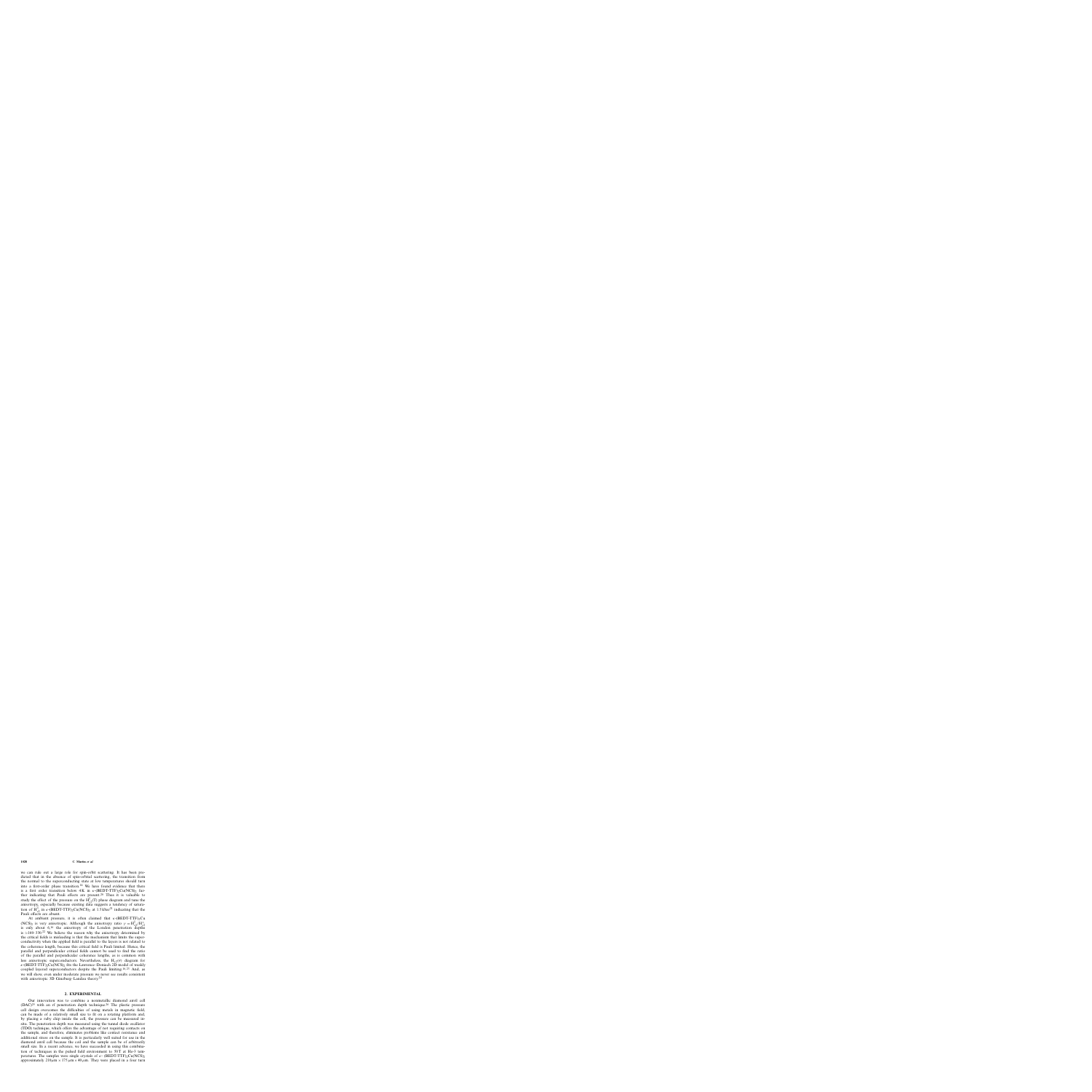we can rule out a large role for spin-orbit scattering. It has been predicted that in the absence of spin-orbital scattering, the transition from the normal to the superconducting state at low temperatures should turn into a first-order phase transition.<sup>14</sup> We have found evidence that there is a first order transition below  $4K$  in  $\kappa$ -(BEDT-TTF)<sub>2</sub>Cu(NCS)<sub>2</sub> further indicating that Pauli effects are present.<sup>20</sup> Thus it is valuable to study the effect of the pressure on the  $H_{c2}^{\parallel}(T)$  phase diagram and tune the anisotropy, especially because existing data suggests a tendency of saturation of  $H_{c2}^{\parallel}$  in  $\kappa$ -(BEDT-TTF)<sub>2</sub>Cu(NCS)<sub>2</sub> at 1.5 kbar<sup>21</sup> indicating that the Pauli effects are absent.

At ambient pressure, it is often claimed that  $\kappa$ -(BEDT-TTF)<sub>2</sub>Cu (NCS)<sub>2</sub> is very anisotropic. Although the anisotropy ratio  $\gamma = H_{c2}^{\parallel}/H_{c2}^{\perp}$ is only about  $6<sup>16</sup>$  the anisotropy of the London penetration depths is  $\approx$ 160–330.<sup>22</sup> We believe the reason why the anisotropy determined by the critical fields is misleading is that the mechanism that limits the superconductivity when the applied field is parallel to the layers is not related to the coherence length, because this critical field is Pauli limited. Hence, the parallel and perpendicular critical fields cannot be used to find the ratio of the parallel and perpendicular coherence lengths, as is common with less anisotropic superconductors. Nevertheless, the  $H_{c2}(\theta)$  diagram for  $\kappa$ -(BEDT-TTF)<sub>2</sub>Cu(NCS)<sub>2</sub> fits the Lawrence–Doniach 2D model of weakly coupled layered superconductors despite the Pauli limiting.16,23 And, as we will show, even under moderate pressure we never see results consistent with anisotropic 3D Ginzburg-Landau theory.<sup>24</sup>

### **2. EXPERIMENTAL**

Our innovation was to combine a nonmetallic diamond anvil cell  $(DAC)^{25}$  with an rf penetration depth technique.<sup>26</sup> The plastic pressure cell design overcomes the difficulties of using metals in magnetic field, can be made of a relatively small size to fit on a rotating platform and, by placing a ruby chip inside the cell, the pressure can be measured insitu. The penetration depth was measured using the tunnel diode oscillator (TDO) technique, which offers the advantage of not requiring contacts on the sample, and therefore, eliminates problems like contact resistance and additional stress on the sample. It is particularly well suited for use in the diamond anvil cell because the coil and the sample can be of arbitrarily small size. In a recent advance, we have succeeded in using this combination of techniques in the pulsed field environment to  $50T$  at He-3 temperatures. The samples were single crystals of  $\kappa$ - (BEDT-TTF)<sub>2</sub>Cu(NCS)<sub>2</sub> approximately  $210\mu m \times 175 \mu m \times 40 \mu m$ . They were placed in a four turn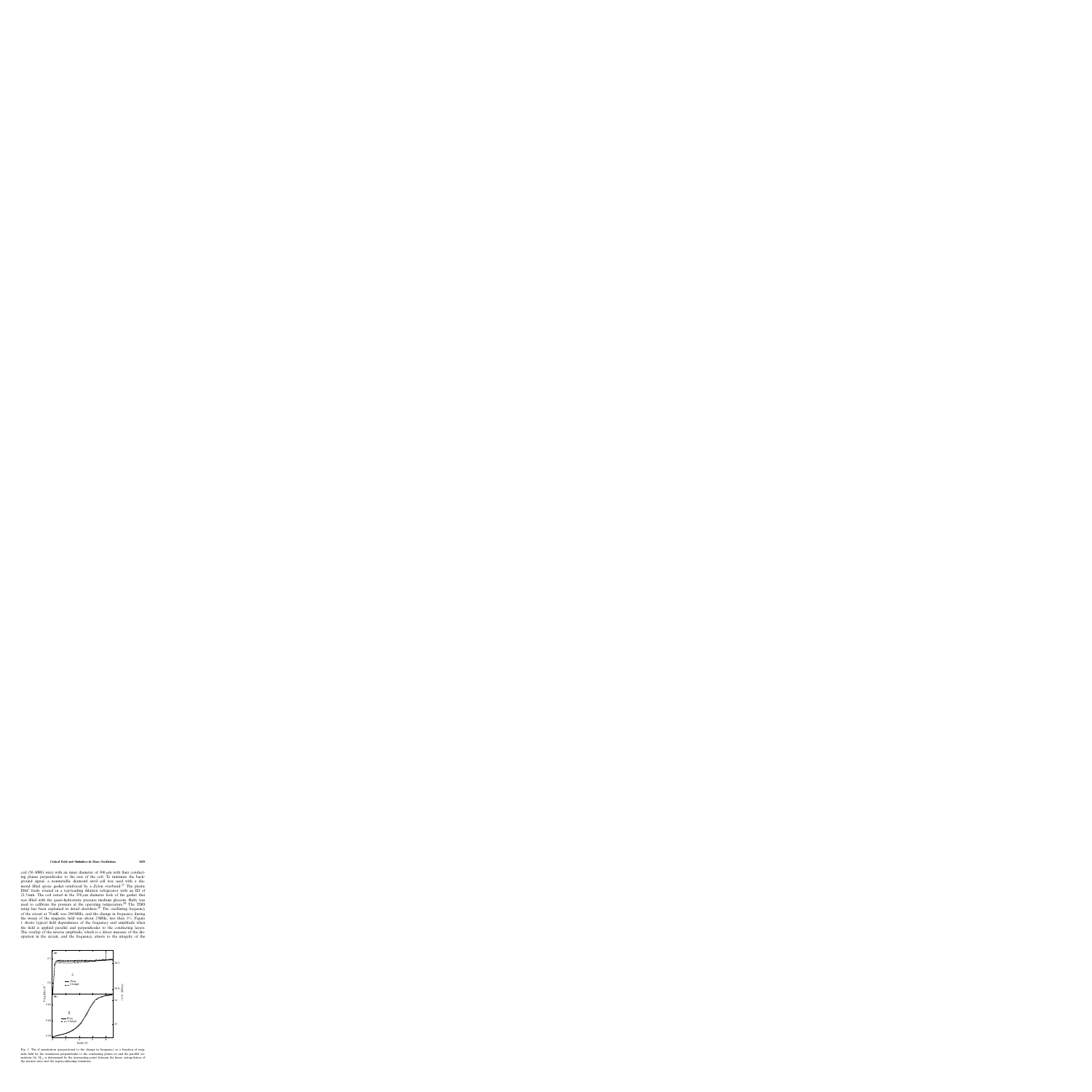coil (56 AWG wire) with an inner diameter of  $300 \mu m$  with their conducting planes perpendicular to the axis of the coil. To minimize the background signal, a nonmetallic diamond anvil cell was used with a diamond filled epoxy gasket reinforced by a Zylon overband.<sup>27</sup> The plastic DAC freely rotated in a top-loading dilution refrigerator with an ID of 21.5 mm. The coil rested in the  $350 \mu m$  diameter hole of the gasket that was filled with the quasi-hydrostatic pressure medium glycerin. Ruby was used to calibrate the pressure at the operating temperature.<sup>28</sup> The TDO setup has been explained in detail elsewhere. $2\overline{6}$  The oscillating frequency of the circuit at 70 mK was 290 MHz, and the change in frequency during the sweep of the magnetic field was about 2 MHz, less than 1%. Figure 1 shows typical field dependences of the frequency and amplitude when the field is applied parallel and perpendicular to the conducting layers. The overlap of the inverse amplitude, which is a direct measure of the dissipation in the circuit, and the frequency, attests to the integrity of the



Fig. 1. The rf penetration (proportional to the change in frequency) as a function of magnetic field for the orientation perpendicular to the conducting planes (a) and the parallel orientation (b).  $H_{c2}$  is determined by the intersecting point between the linear extrapolation of the normal state and the superconducting transition.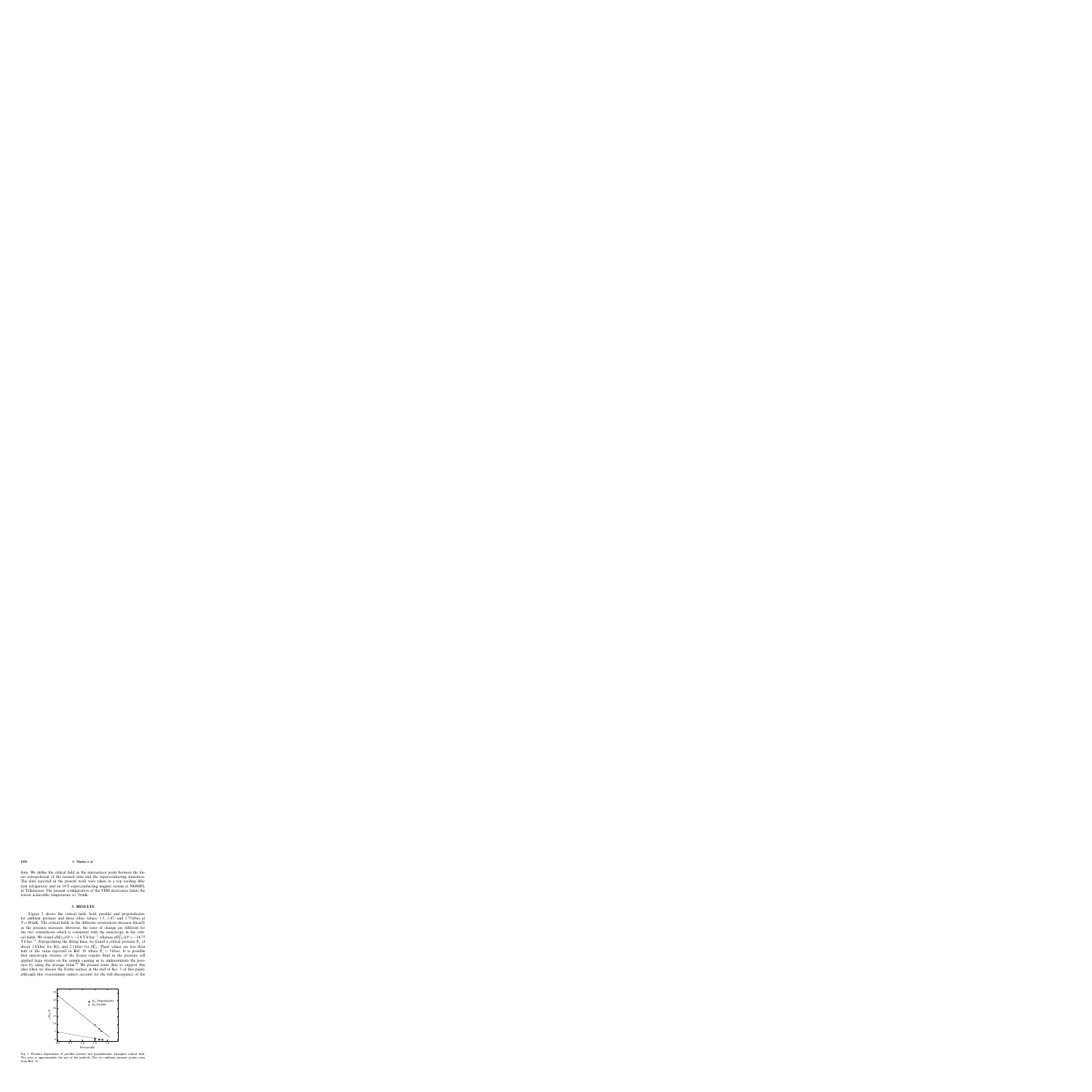data. We define the critical field as the intersection point between the linear extrapolation of the normal state and the superconducting transition. The data reported in the present work were taken in a top loading dilution refrigerator and an 18T superconducting magnet system at NHMFL in Tallahassee. The present configuration of the TDO electronics limits the lowest achievable temperature to 70 mK.

### **3. RESULTS**

Figure 2 shows the critical field, both parallel and perpendicular, for ambient pressure and three other values: 1.5, 1.67, and 1.75 kbar at  $T = 90$  mK. The critical fields in the different orientations decrease linearly as the pressure increases. However, the rates of change are different for the two orientations which is consistent with the anisotropy in the critical fields. We found  $dH_{c2}^{\perp}/dP \simeq -2.8$  T k bar<sup>-1</sup> whereas  $dH_{c2}^{\parallel}/dP \simeq -14.75$ Tk bar<sup>-1</sup>. Extrapolating the fitting lines, we found a critical pressure P<sub>c</sub> of about 1.8 kbar for  $H_{c2}^{\perp}$  and 2.1 kbar for  $H_{c2}^{\parallel}$ . These values are less than half of the value reported in Ref. 10 where  $P_c \simeq 5$  kbar. It is possible that anisotropic stresses of the frozen organic fluid in the pressure cell applied large strains on the sample causing us to underestimate the pressure by using the average value.<sup>29</sup> We present some data to support this idea when we discuss the Fermi surface at the end of Sec. 3 of this paper, although this overestimate cannot account for the full discrepancy of the



Fig. 2. Pressure dependence of parallel (circles) and perpendicular (triangles) critical field. The error is approximately the size of the symbols. The two ambient pressure points come from Ref. 16.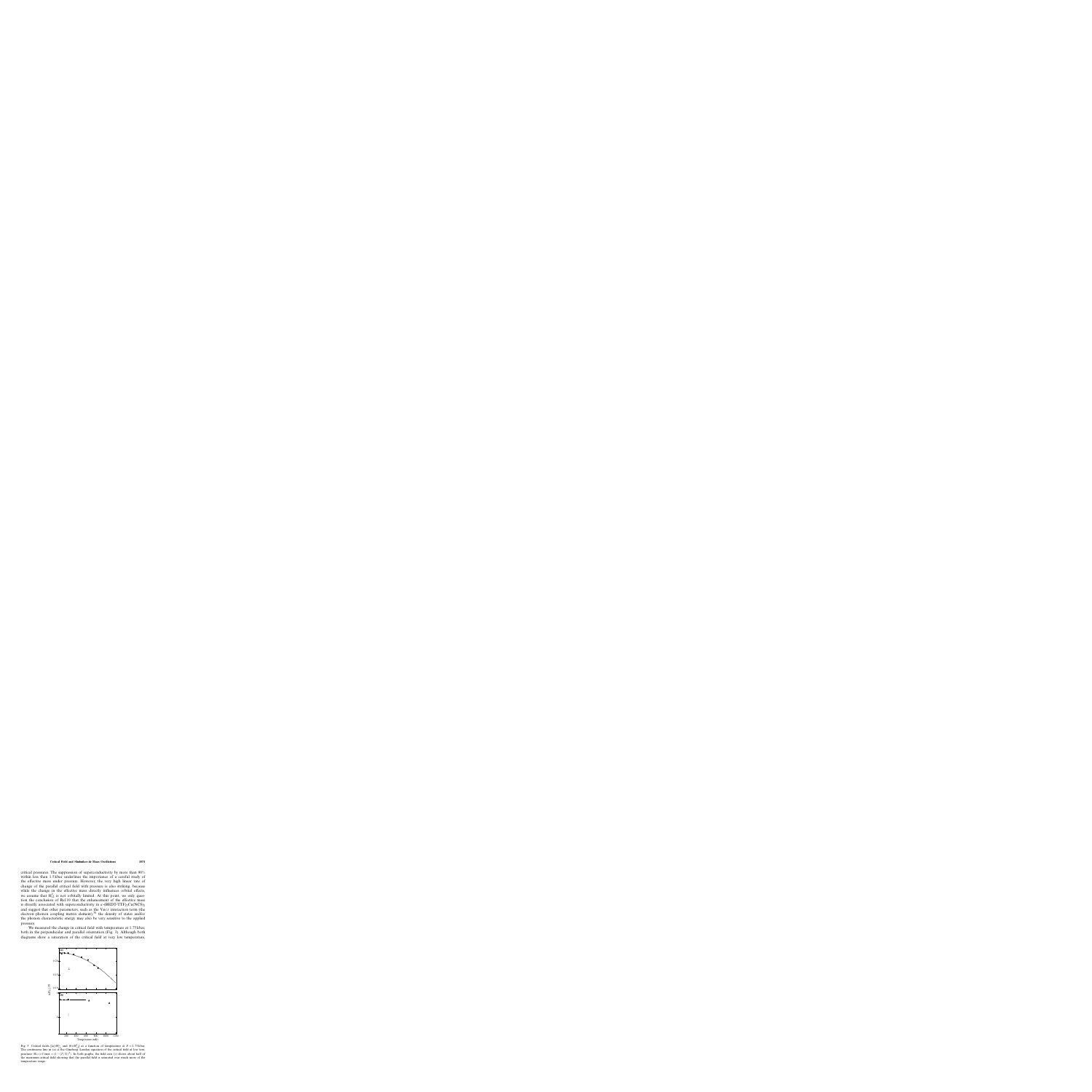critical pressures. The suppression of superconductivity by more than 90% within less than 1.5 kbar underlines the importance of a careful study of the effective mass under pressure. However, the very high linear rate of change of the parallel critical field with pressure is also striking, because while the change in the effective mass directly influences orbital effects, we assume that  $H_{c2}^{\parallel}$  is not orbitally limited. At this point, we only question the conclusion of Ref.10 that the enhancement of the effective mass is directly associated with superconductivity in  $\kappa$ -(BEDT-TTF)<sub>2</sub>Cu(NCS)<sub>2</sub> and suggest that other parameters, such as the  $V_{BCS}$  interaction term (the electron–phonon coupling matrix element), $30$  the density of states and/or the phonon characteristic energy may also be very sensitive to the applied pressure.

We measured the change in critical field with temperature at 1.75 kbar, both in the perpendicular and parallel orientation (Fig. 3). Although both diagrams show a saturation of the critical field at very low temperature,



Fig. 3. Critical fields  $[(a) - H_{c2}^{\perp}$  and  $(b) - H_{c2}^{\parallel}]$  as a function of temperature at  $P = 1.75$  kbar. The continuous line in (a) is the Ginzburg–Landau equation of the critical field at low temperature: H<sub>c2</sub> = Const. × (1 –  $(T / T_c)^2$ ). In both graphs, the field axis (y) shows about half of the maximum critical field showing that the parallel field is saturated over much more of the temperature range.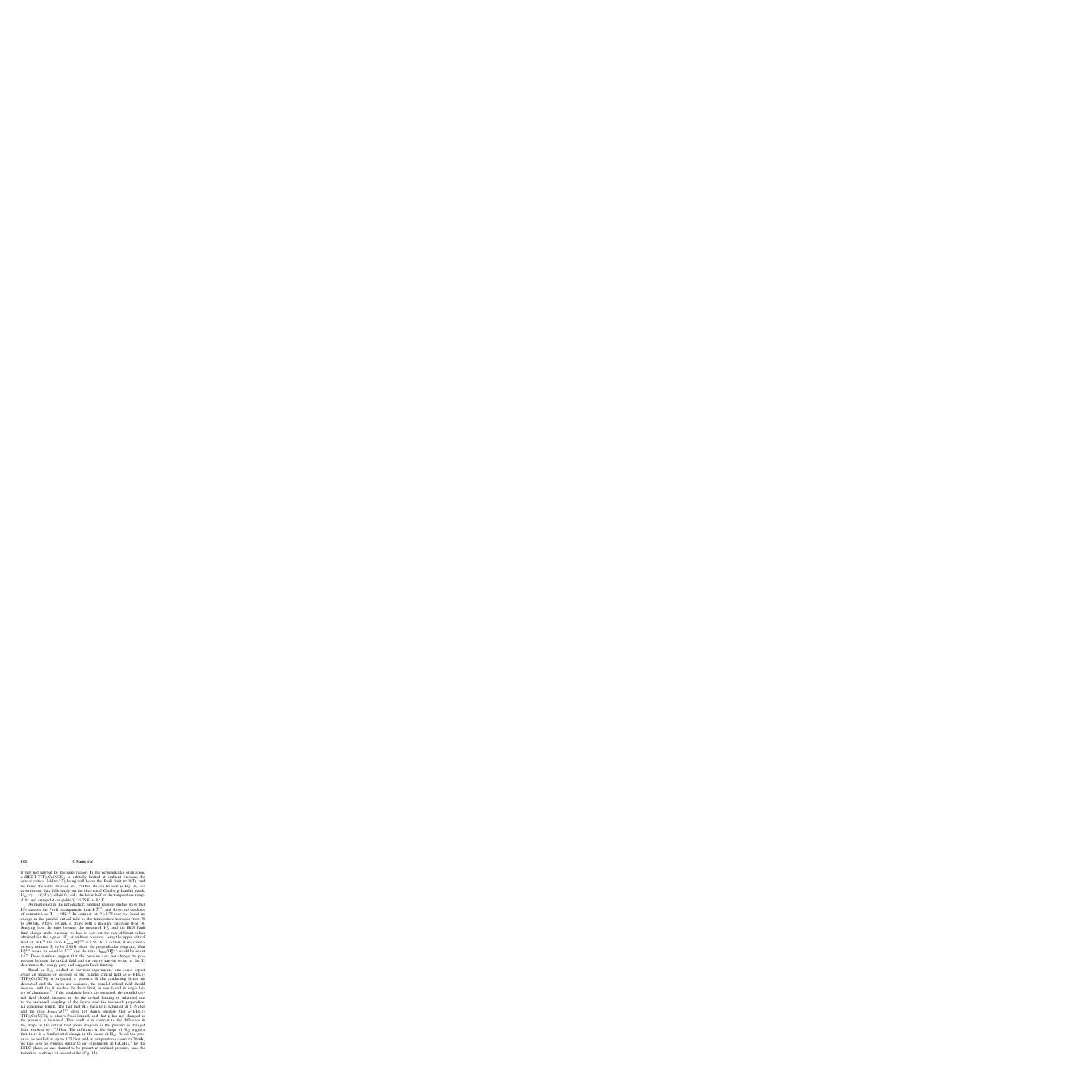it may not happen for the same reason. In the perpendicular orientation,  $\kappa$ -(BEDT-TTF)<sub>2</sub>Cu(NCS)<sub>2</sub> is orbitally limited at ambient pressure, the orbital critical field ( $\approx$  5T) being well below the Pauli limit ( $\approx$  18T), and we found the same situation at 1.75 kbar. As can be seen in Fig. 3a, our experimental data falls nicely on the theoretical Ginzburg–Landau result,  $H_{c2} \approx (1-(T/T_c)^2)$  albeit for only the lower half of the temperature range. A fit and extrapolation yields  $T_c \approx 1.75 \text{ K} \pm 0.5 \text{ K}$ .

As mentioned in the introduction, ambient pressure studies show that  $H_{c2}^{\parallel}$  exceeds the Pauli paramagnetic limit  $H_P^{BCS}$ , and shows no tendency of saturation as  $T \rightarrow 0K$ .<sup>11</sup> In contrast, at P = 1.75 kbar we found no change in the parallel critical field as the temperature increases from 70 to 240 mK. Above 240 mK it drops with a negative curvature (Fig. 3). Studying how the ratio between the measured  $H_{c2}^{\parallel}$  and the BCS Pauli limit change under pressure, we had to sort out the very different values obtained for the highest  $H_{c2}^{\parallel}$  at ambient pressure. Using the upper critical field of 28 T,<sup>31</sup> the ratio  $\widetilde{H}_{\text{meas}}/H_P^{BCS}$  is 1.55. At 1.75 kbar, if we conservatively estimate  $T_c$  to be 2.00 K (from the perpendicular diagram), then  $H_P^{BCS}$  would be equal to 3.7 T and the ratio  $H_{\text{meas}}/H_P^{BCS}$  would be about 1.47. These numbers suggest that the pressure does not change the proportion between the critical field and the energy gap (in so far as the  $T_c$ determines the energy gap) and suggests Pauli limiting.

Based on  $H_{c2}$  studied in previous experiments, one could expect either an increase or decrease in the parallel critical field as  $\kappa$ -(BEDT- $TTF)$ <sub>2</sub>Cu(NCS)<sub>2</sub> is subjected to pressure. If the conducting layers are decoupled and the layers are squeezed, the parallel critical field should increase until the it reaches the Pauli limit, as was found in single layers of aluminum.<sup>32</sup> If the insulating layers are squeezed, the parallel critical field should decrease as the the orbital limiting is enhanced due to the increased coupling of the layers, and the increased perpendicular coherence length. The fact that  $H_{c2}$  parallel is saturated at 1.75 kbar and the ratio  $H_{\text{meas}}/H_{P}^{BCS}$  does not change suggests that  $\kappa$ -(BEDT- $TTF$ )<sub>2</sub>Cu(NCS)<sub>2</sub> is always Pauli limited, and that g has not changed as the pressure is increased. This result is in contrast to the difference in the shape of the critical field phase diagram as the pressure is changed from ambient to 1.75 kbar. The difference in the shape of  $H<sub>c2</sub>$  suggests that there is a fundamental change in the cause of  $H<sub>c2</sub>$ . At all the pressures we worked at up to 1.75 kbar and at temperatures down to 70 mK, we have seen no evidence similar to our experiments in  $CeCoIn<sub>5</sub><sup>15</sup>$  for the FFLO phase, as was claimed to be present at ambient pressure,<sup>3</sup> and the transition is always of second order (Fig. 1b).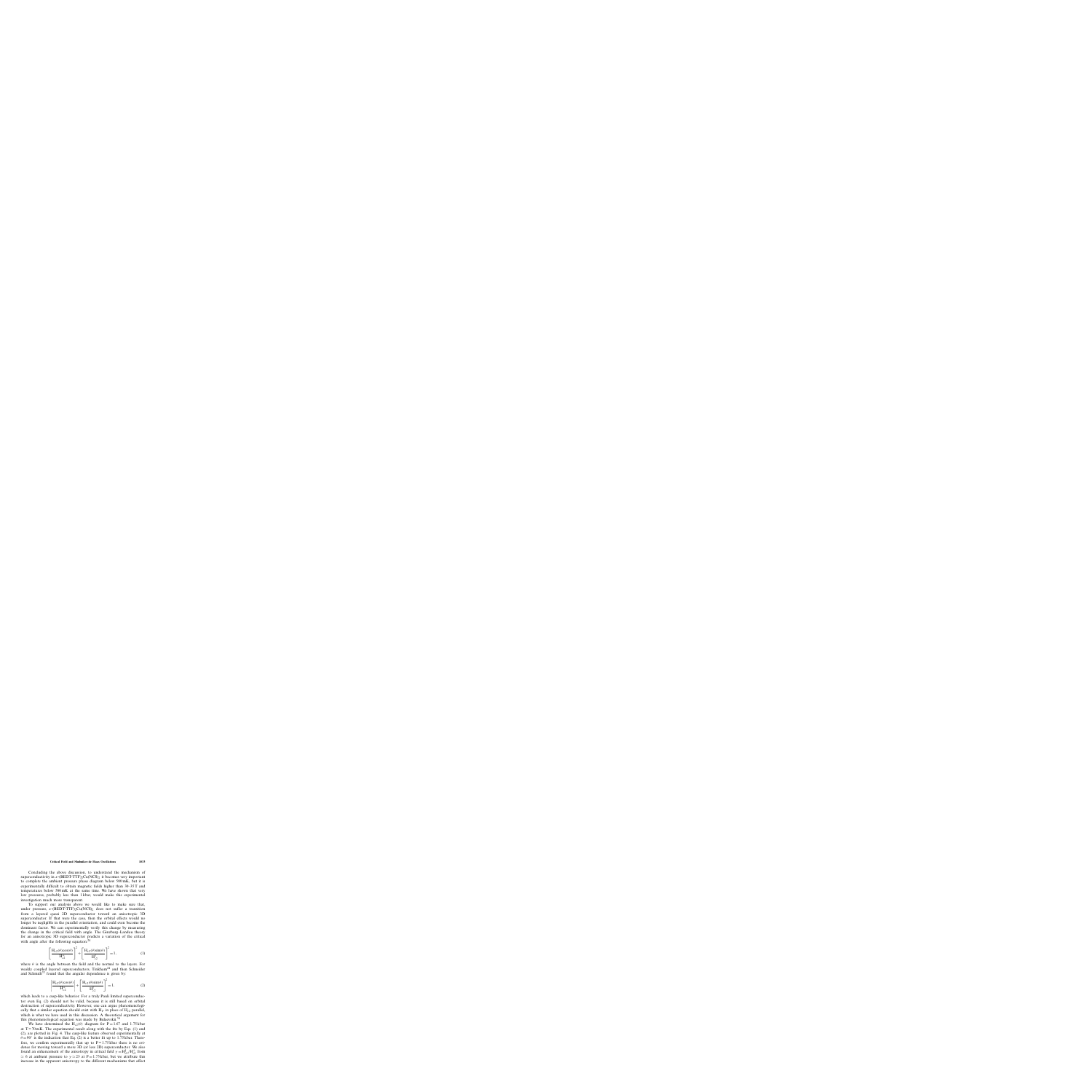Concluding the above discussion, to understand the mechanism of superconductivity in  $\kappa$ -(BEDT-TTF)<sub>2</sub>Cu(NCS)<sub>2</sub> it becomes very important to complete the ambient pressure phase diagram below 500 mK, but it is experimentally difficult to obtain magnetic fields higher than 30–35T and temperatures below 500 mK at the same time. We have shown that very low pressures, probably less than 1 kbar, would make this experimental investigation much more transparent.

To support our analysis above we would like to make sure that, under pressure,  $\kappa$ -(BEDT-TTF)<sub>2</sub>Cu(NCS)<sub>2</sub> does not suffer a transition from a layered quasi 2D superconductor toward an anisotropic 3D superconductor. If that were the case, then the orbital effects would no longer be negligible in the parallel orientation, and could even become the dominant factor. We can experimentally verify this change by measuring the change in the critical field with angle. The Ginzburg–Landau theory for an anisotropic 3D superconductor predicts a variation of the critical with angle after the following equation:  $24$ 

$$
\left[\frac{\mathbf{H}_{c2}(\theta)\cos(\theta)}{\mathbf{H}_{c2}^{\perp}}\right]^{2} + \left[\frac{\mathbf{H}_{c2}(\theta)\sin(\theta)}{\mathbf{H}_{c2}^{\parallel}}\right]^{2} = 1, \tag{1}
$$

where  $\theta$  is the angle between the field and the normal to the layers. For weakly coupled layered superconductors, Tinkham<sup>24</sup> and then Schneider and Schmidt<sup>33</sup> found that the angular dependence is given by:

$$
\left| \frac{\mathbf{H}_{c2}(\theta)\cos(\theta)}{\mathbf{H}_{c2}^{\perp}} \right| + \left[ \frac{\mathbf{H}_{c2}(\theta)\sin(\theta)}{\mathbf{H}_{c2}^{\parallel}} \right]^{2} = 1, \tag{2}
$$

which leads to a cusp-like behavior. For a truly Pauli limited superconductor even Eq. (2) should not be valid, because it is still based on orbital destruction of superconductivity. However, one can argue phenomenologically that a similar equation should exist with  $H_P$  in place of  $H_{c2}$  parallel, which is what we have used in this discussion. A theoretical argument for this phenomenological equation was made by Bulaevskii.<sup>34</sup>

We have determined the H<sub>c2</sub>( $\theta$ ) diagram for P = 1.67 and 1.75 kbar at  $T = 70$  mK. The experimental result along with the fits by Eqs. (1) and (2), are plotted in Fig. 4. The cusp-like feature observed experimentally at  $\theta = 90^\circ$  is the indication that Eq. (2) is a better fit up to 1.75 kbar. Therefore, we confirm experimentally that up to  $P = 1.75$  kbar there is no evidence for moving toward a more 3D (or less 2D) superconductor. We also found an enhancement of the anisotropy in critical field  $\gamma = H_{c2}^{\parallel}/H_{c2}^{\perp}$  from  $\simeq$  6 at ambient pressure to  $\gamma \simeq 23$  at P = 1.75 kbar, but we attribute this increase in the apparent anisotropy to the different mechanisms that affect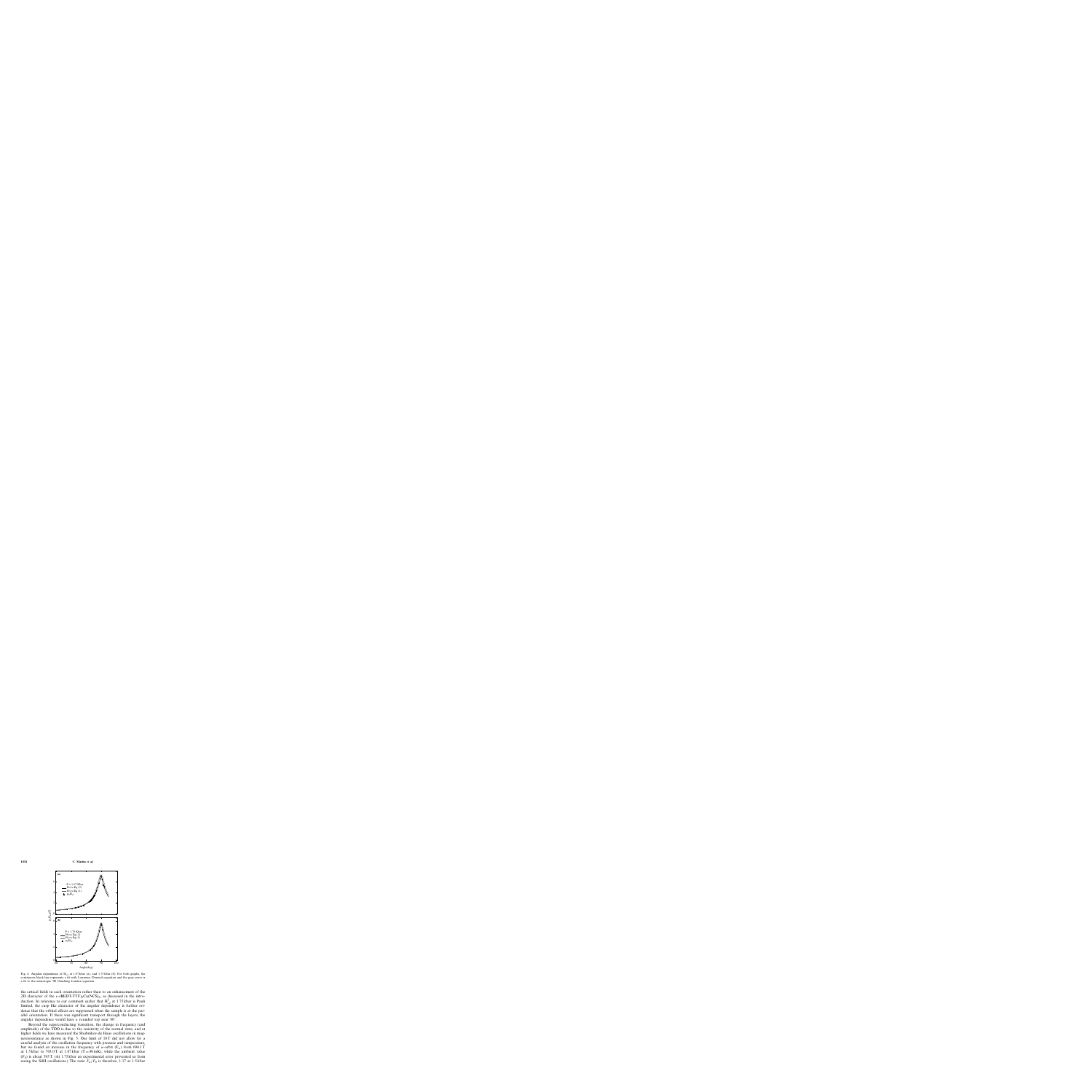

Fig. 4. Angular dependence of  $H_{c2}$  at 1.67 kbar (a), and 1.75 kbar (b). For both graphs, the continuous black line represents a fit with Lawrence–Doniach equation and the gray curve is a fit to the anisotropic 3D Ginzburg–Landau equation.

the critical fields in each orientation rather than to an enhancement of the 2D character of the  $\kappa$ -(BEDT-TTF)<sub>2</sub>Cu(NCS)<sub>2</sub>, as discussed in the introduction. In reference to our comment earlier that  $H_{c2}^{\parallel}$  at 1.75 kbar is Pauli limited, the cusp like character of the angular dependence is further evidence that the orbital effects are suppressed when the sample is at the parallel orientation. If there was significant transport through the layers, the angular dependence would have a rounded top near 90◦.

Beyond the superconducting transition, the change in frequency (and amplitude) of the TDO is due to the resistivity of the normal state, and at higher fields we have measured the Shubnikov-de Haas oscillations in magnetoresistance as shown in Fig. 5. Our limit of 18T did not allow for a careful analysis of the oscillation frequency with pressure and temperature, but we found an increase in the frequency of  $\alpha$ -orbit (F<sub> $\alpha$ </sub>) from 694.1T at 1.5 kbar to 703.0 T at 1.67 kbar (T =  $90 \text{ mK}$ ), while the ambient value  $(F<sub>0</sub>)$  is about 595 T. (At 1.75 kbar an experimental error prevented us from seeing the SdH oscillations.) The ratio  $F_{\alpha}/F_0$  is therefore, 1.17 at 1.5 kbar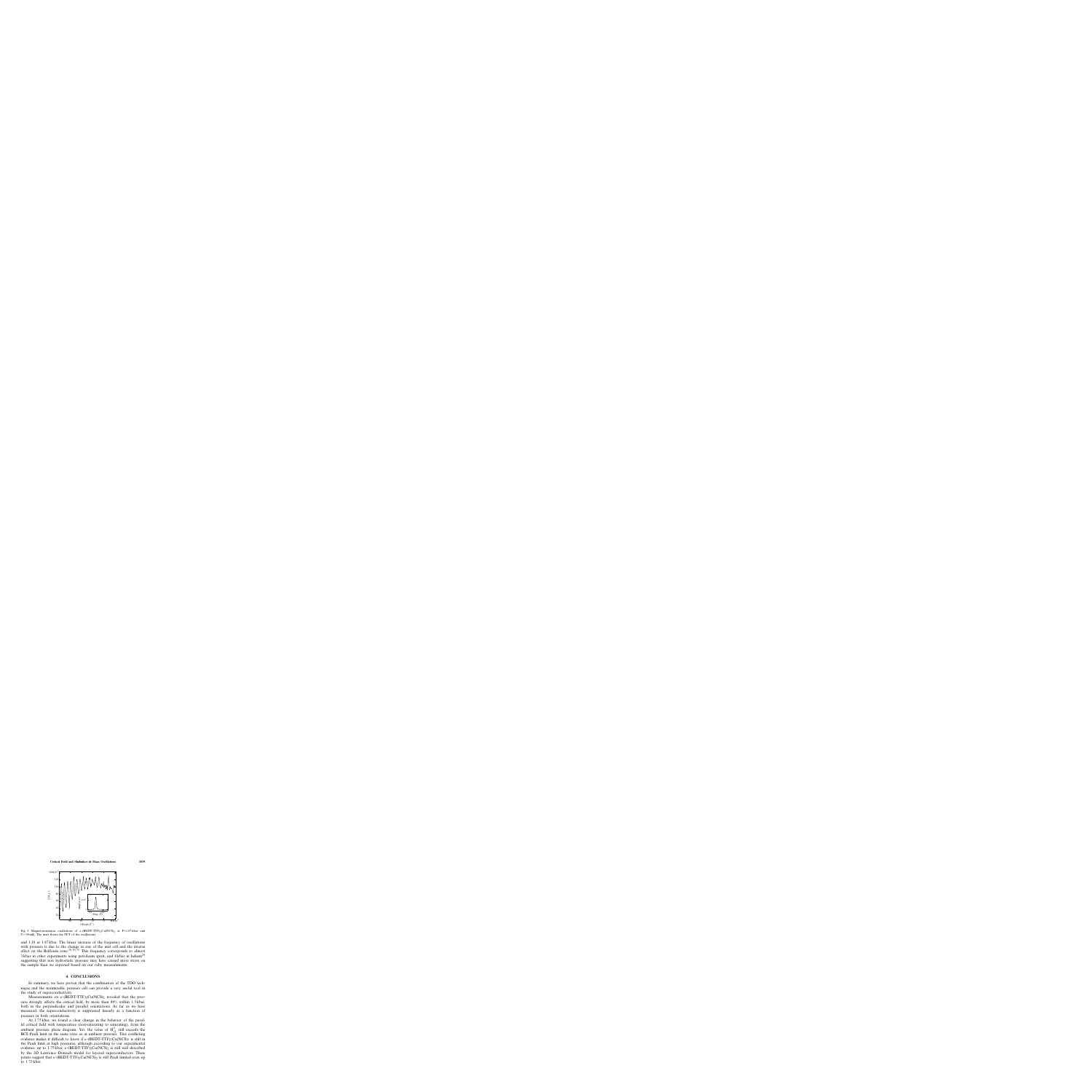

Fig. 5. Magnetoresistance oscillations of  $\kappa$ -(BEDT-TTF)<sub>2</sub>Cu(NCS)<sub>2</sub> at P=1.67 kbar and  $T = 90$  mK. The inset shows the FFT of the oscillations.

and 1.18 at 1.67 kbar. The linear increase of the frequency of oscillations with pressure is due to the change in size of the unit cell and the inverse effect on the Brillouin zone.<sup>10,30,35</sup> This frequency corresponds to almost  $3$  kbar in other experiments using petroleum spirit, and 6 kbar in helium<sup>29</sup> suggesting that non hydrostatic pressure may have caused more stress on the sample than we expected based on our ruby measurements.

### **4. CONCLUSIONS**

In summary, we have proven that the combination of the TDO technique and the nonmetallic pressure cell can provide a very useful tool in the study of superconductivity.

Measurements on  $\kappa$ -(BEDT-TTF)<sub>2</sub>Cu(NCS)<sub>2</sub> revealed that the pressure strongly affects the critical field, by more than 90% within 1.5 kbar, both in the perpendicular and parallel orientations. As far as we have measured, the superconductivity is suppressed linearly as a function of pressure in both orientations.

At 1.75 kbar, we found a clear change in the behavior of the parallel critical field with temperature (non-saturating to saturating), from the ambient pressure phase diagram. Yet, the value of  $H_{c2}^{\parallel}$  still exceeds the BCS Pauli limit in the same ratio as at ambient pressure. This conflicting evidence makes it difficult to know if  $\kappa$ -(BEDT-TTF)<sub>2</sub>Cu(NCS)<sub>2</sub> is still in the Pauli limit at high pressures, although according to our experimental evidence, up to 1.75 kbar,  $\kappa$ -(BEDT-TTF)<sub>2</sub>Cu(NCS)<sub>2</sub> is still well described by the 2D Lawrence–Doniach model for layered superconductors. These points suggest that  $\kappa$ -(BEDT-TTF)<sub>2</sub>Cu(NCS)<sub>2</sub> is still Pauli limited even up to 1.75 kbar.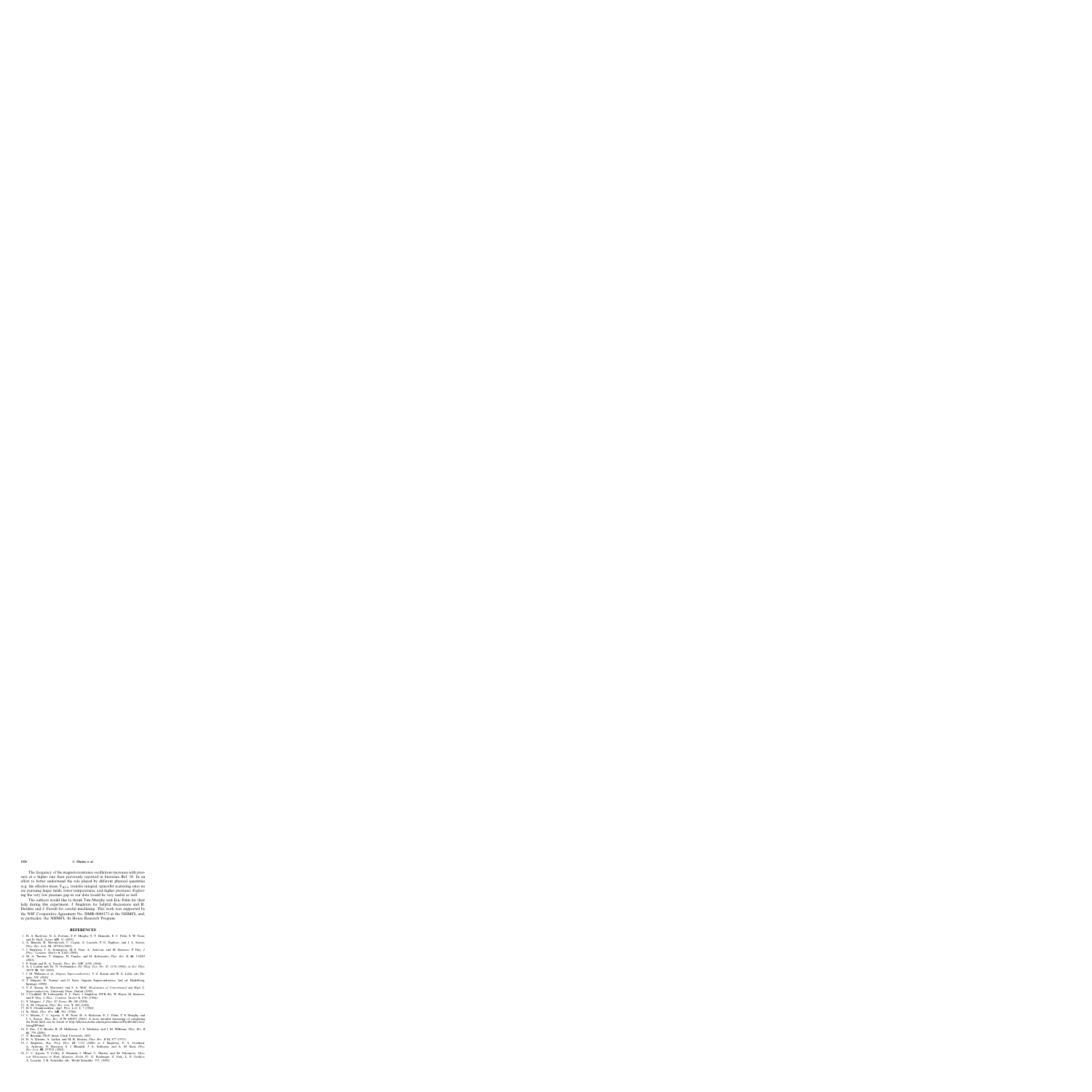The frequency of the magnetoresistance oscillations increases with pressure at a higher rate than previously reported in literature Ref. 10. In an effort to better understand the role played by different physical quantities (e.g. the effective mass,  $V_{BCS}$ , transfer integral, spinorbit scattering rate) we are pursuing larger fields, lower temperatures, and higher pressures. Exploring the very low pressure gap in our data would be very useful as well.

The authors would like to thank Tim Murphy and Eric Palm for their help during this experiment, J. Singleton for helpful discussions and R. Desilets and J. Farrell for careful machining. This work was supported by the NSF Cooperative Agreement No. DMR-0084173 at the NHMFL and, in particular, the NHMFL In House Research Program.

## **REFERENCES**

- 1. H. A. Radovan, N. A. Fortune, T. P. Murphy, S. T. Hannahs, E. C. Palm, S. W. Tozer, and D. Hall, *Nature* **425**, 51 (2003).
- 2. A. Bianchi, R. Movshovich, C. Capan, A. Lacerda, P. G. Pagliuso, and J. L. Sarrao, *Phys. Rev. Lett.* **91**, 187004 (2003).
- 3. J. Singleton, J. A. Symington, M.-S. Nam, A. Ardavan, and M. Kurmoo, P. Day, *J. Phys.: Condens. Matter* **6**, L641 (2000).
- 4. M. A. Tanatar, T. Ishiguro, H. Tanaka, and H. Kobayashi, *Phys. Rev. B*, **66**, 134503 (2002).
- 5. P. Fulde and R. A. Ferrell, *Phys. Rev.* **135**, A550 (1964).
- 6. A. I. Larkin and Yu. N. Ovchinnikov, *Zh. Eksp. Teor. Fiz.* 47, 1136 (1964); or *Sov. Phys. JETP* **20**, 762 (1965).
- 7. J. M. Williams et al., *Organic Superconductivity*, V. Z. Kresin and W. A. Little, eds. Plenum, NY (1990).
- 8. T. Ishiguro, K. Yamaji, and G. Saito, Organic Superconductors, 2nd ed. Heidelberg, Springer (1998).
- 9. V. Z. Kresin, H. Morawitz, and S. A. Wolf, *Mechanisms of Conventional and High T*<sup>c</sup> *Superconductivity,* University Press, Oxford (1993).
- 10. J. Caulfield, W. Lubczynski, F. L. Pratt, J. Singleton, DYK Ko, W. Hayes, M. Kurmoo, and P. Day, *J. Phys.: Condens. Matter* **6**, 2911 (1994).
- 11. T. Ishiguro, *J. Phys. IV France* **10**, 186 (2000).
- 12. A. M. Clogston, *Phys. Rev. Lett.* **9**, 266 (1962).
- 13. B. S. Chandrasekhar, *Appl. Phys. Lett*. **1**, 7 (1962).
- 14. K. Maki, *Phys. Rev.* **148**, 362, (1966).
- 15. C. Martin, C. C. Agosta, S. W. Tozer, H. A. Radovan, E. C. Palm, T. P. Murphy, and J. L. Sarrao, *Phys. Rev. B* **71** 020503 (2005). A more detailed discussing of calculating the Pauli limit can be found at http://physics.clarku.edu/superconductor/PauliFold/CalculatingHP.html.
- 16. F. Zuo, J. S. Brooks, R. H. McKenzie, J. A. Schlueter, and J. M. Williams, *Phys. Rev. B* **61**, 750 (2000).
- 17. Z. Bayindir, Ph.D thesis, Clark University, 2002
- 18. R. A. Klemm, A. Luther, and M. R. Beasley, *Phys. Rev. B* **12**, 877 (1975).
- 19. J. Singleton, *Rep. Prog. Phys.* **63**, 1111 (2000) or J. Singleton, P. A. Goddard, A. Ardavan, N. Harrison, S. J. Blundell, J. A. Schlueter, and A. M. Kini, *Phys. Rev. Lett.* **88**, 037001 (2002).
- 20. C. C. Agosta, T. Coffey, Z. Bayindir, I. Mihut, C. Martin, and M. Tokumoto, *Physical Phenomena in High Magnetic Fields IV*, G. Boebinger, Z. Fisk, L. P. GorKov, A. Lacerda, J. R. Schrieffer, eds., World Scientific, 333, (2002).